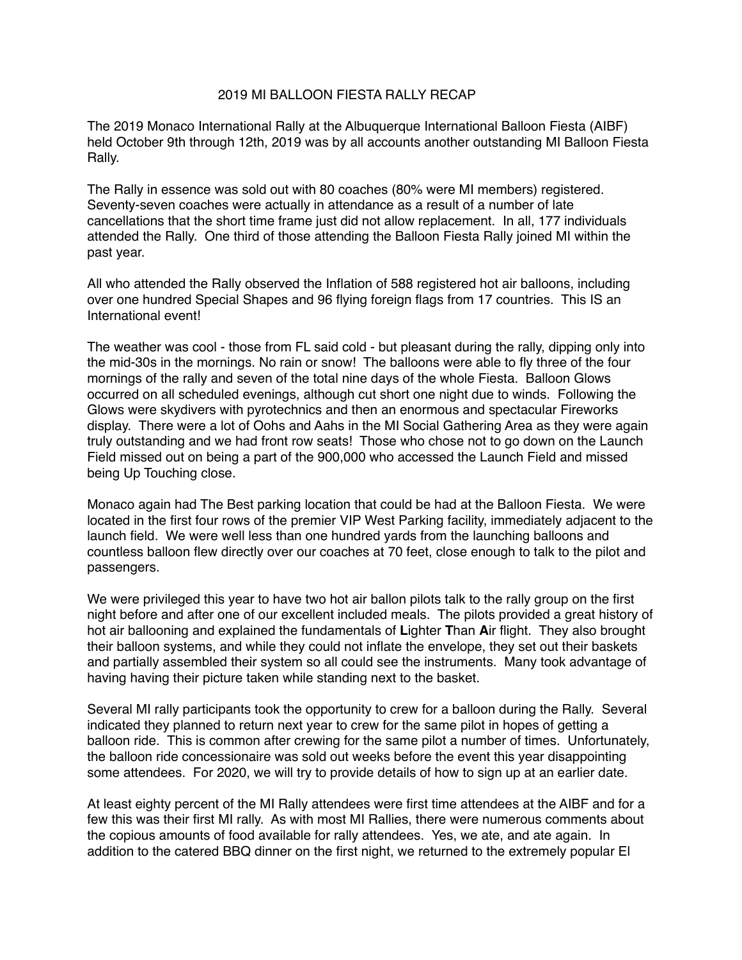## 2019 MI BALLOON FIESTA RALLY RECAP

The 2019 Monaco International Rally at the Albuquerque International Balloon Fiesta (AIBF) held October 9th through 12th, 2019 was by all accounts another outstanding MI Balloon Fiesta Rally.

The Rally in essence was sold out with 80 coaches (80% were MI members) registered. Seventy-seven coaches were actually in attendance as a result of a number of late cancellations that the short time frame just did not allow replacement. In all, 177 individuals attended the Rally. One third of those attending the Balloon Fiesta Rally joined MI within the past year.

All who attended the Rally observed the Inflation of 588 registered hot air balloons, including over one hundred Special Shapes and 96 flying foreign flags from 17 countries. This IS an International event!

The weather was cool - those from FL said cold - but pleasant during the rally, dipping only into the mid-30s in the mornings. No rain or snow! The balloons were able to fly three of the four mornings of the rally and seven of the total nine days of the whole Fiesta. Balloon Glows occurred on all scheduled evenings, although cut short one night due to winds. Following the Glows were skydivers with pyrotechnics and then an enormous and spectacular Fireworks display. There were a lot of Oohs and Aahs in the MI Social Gathering Area as they were again truly outstanding and we had front row seats! Those who chose not to go down on the Launch Field missed out on being a part of the 900,000 who accessed the Launch Field and missed being Up Touching close.

Monaco again had The Best parking location that could be had at the Balloon Fiesta. We were located in the first four rows of the premier VIP West Parking facility, immediately adjacent to the launch field. We were well less than one hundred yards from the launching balloons and countless balloon flew directly over our coaches at 70 feet, close enough to talk to the pilot and passengers.

We were privileged this year to have two hot air ballon pilots talk to the rally group on the first night before and after one of our excellent included meals. The pilots provided a great history of hot air ballooning and explained the fundamentals of **L**ighter **T**han **A**ir flight. They also brought their balloon systems, and while they could not inflate the envelope, they set out their baskets and partially assembled their system so all could see the instruments. Many took advantage of having having their picture taken while standing next to the basket.

Several MI rally participants took the opportunity to crew for a balloon during the Rally. Several indicated they planned to return next year to crew for the same pilot in hopes of getting a balloon ride. This is common after crewing for the same pilot a number of times. Unfortunately, the balloon ride concessionaire was sold out weeks before the event this year disappointing some attendees. For 2020, we will try to provide details of how to sign up at an earlier date.

At least eighty percent of the MI Rally attendees were first time attendees at the AIBF and for a few this was their first MI rally. As with most MI Rallies, there were numerous comments about the copious amounts of food available for rally attendees. Yes, we ate, and ate again. In addition to the catered BBQ dinner on the first night, we returned to the extremely popular El